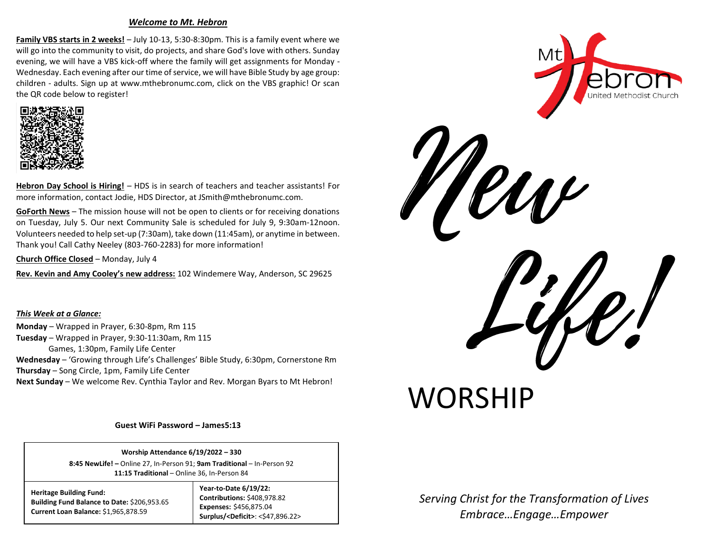## *Welcome to Mt. Hebron*

**Family VBS starts in 2 weeks!** – July 10-13, 5:30-8:30pm. This is a family event where we will go into the community to visit, do projects, and share God's love with others. Sunday evening, we will have a VBS kick-off where the family will get assignments for Monday - Wednesday. Each evening after our time of service, we will have Bible Study by age group: children - adults. Sign up at www.mthebronumc.com, click on the VBS graphic! Or scan the QR code below to register!



**Hebron Day School is Hiring!** – HDS is in search of teachers and teacher assistants! For more information, contact Jodie, HDS Director, at JSmith@mthebronumc.com.

**GoForth News** – The mission house will not be open to clients or for receiving donations on Tuesday, July 5. Our next Community Sale is scheduled for July 9, 9:30am-12noon. Volunteers needed to help set-up (7:30am), take down (11:45am), or anytime in between. Thank you! Call Cathy Neeley (803-760-2283) for more information!

**Church Office Closed** – Monday, July 4

**Rev. Kevin and Amy Cooley's new address:** 102 Windemere Way, Anderson, SC 29625

*This Week at a Glance:* **Monday** – Wrapped in Prayer, 6:30-8pm, Rm 115 **Tuesday** – Wrapped in Prayer, 9:30-11:30am, Rm 115 Games, 1:30pm, Family Life Center **Wednesday** – 'Growing through Life's Challenges' Bible Study, 6:30pm, Cornerstone Rm **Thursday** – Song Circle, 1pm, Family Life Center **Next Sunday** – We welcome Rev. Cynthia Taylor and Rev. Morgan Byars to Mt Hebron!

**Guest WiFi Password – James5:13**

**Worship Attendance 6/19/2022 – 330 8:45 NewLife! –** Online 27, In-Person 91; **9am Traditional** – In-Person 92 **11:15 Traditional** – Online 36, In-Person 84

**Heritage Building Fund: Building Fund Balance to Date:** \$206,953.65 **Current Loan Balance:** \$1,965,878.59

## **Year-to-Date 6/19/22: Contributions:** \$408,978.82 **Expenses:** \$456,875.04 **Surplus/<Deficit>**: <\$47,896.22>



*Serving Christ for the Transformation of Lives Embrace…Engage…Empower* 

**WORSHIP**